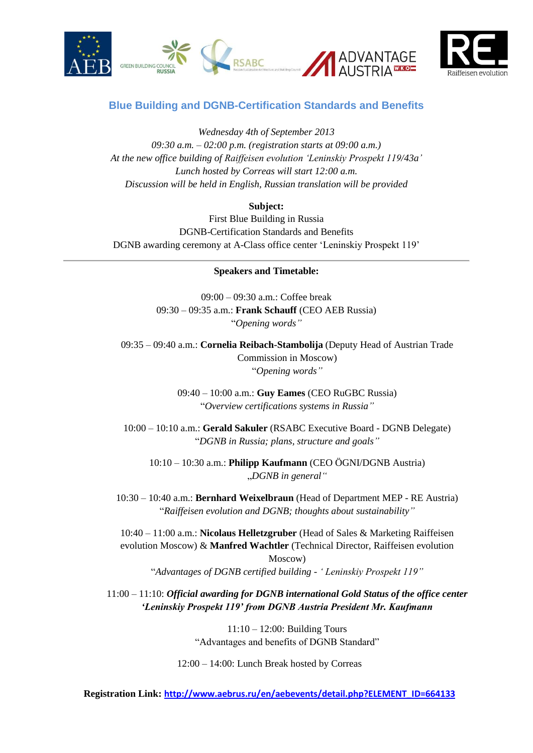





## **Blue Building and DGNB-Certification Standards and Benefits**

*Wednesday 4th of September 2013 09:30 a.m. – 02:00 p.m. (registration starts at 09:00 a.m.) At the new office building of Raiffeisen evolution 'Leninskiy Prospekt 119/43a' Lunch hosted by Correas will start 12:00 a.m. Discussion will be held in English, Russian translation will be provided*

## **Subject:**

First Blue Building in Russia DGNB-Certification Standards and Benefits DGNB awarding ceremony at A-Class office center 'Leninskiy Prospekt 119'

## **Speakers and Timetable:**

09:00 – 09:30 a.m.: Coffee break 09:30 – 09:35 a.m.: **Frank Schauff** (CEO AEB Russia) "*Opening words"*

09:35 – 09:40 a.m.: **Cornelia Reibach-Stambolija** (Deputy Head of Austrian Trade Commission in Moscow) "*Opening words"*

> 09:40 – 10:00 a.m.: **Guy Eames** (CEO RuGBC Russia) "*Overview certifications systems in Russia"*

10:00 – 10:10 a.m.: **Gerald Sakuler** (RSABC Executive Board - DGNB Delegate) "*DGNB in Russia; plans, structure and goals"*

10:10 – 10:30 a.m.: **Philipp Kaufmann** (CEO ÖGNI/DGNB Austria) "*DGNB in general"*

10:30 – 10:40 a.m.: **Bernhard Weixelbraun** (Head of Department MEP - RE Austria) "*Raiffeisen evolution and DGNB; thoughts about sustainability"*

10:40 – 11:00 a.m.: **Nicolaus Helletzgruber** (Head of Sales & Marketing Raiffeisen evolution Moscow) & **Manfred Wachtler** (Technical Director, Raiffeisen evolution Moscow) "*Advantages of DGNB certified building - ' Leninskiy Prospekt 119"*

11:00 – 11:10: *Official awarding for DGNB international Gold Status of the office center 'Leninskiy Prospekt 119' from DGNB Austria President Mr. Kaufmann* 

> 11:10 – 12:00: Building Tours "Advantages and benefits of DGNB Standard"

12:00 – 14:00: Lunch Break hosted by Correas

**Registration Link: [http://www.aebrus.ru/en/aebevents/detail.php?ELEMENT\\_ID=664133](http://www.aebrus.ru/en/aebevents/detail.php?ELEMENT_ID=664133)**